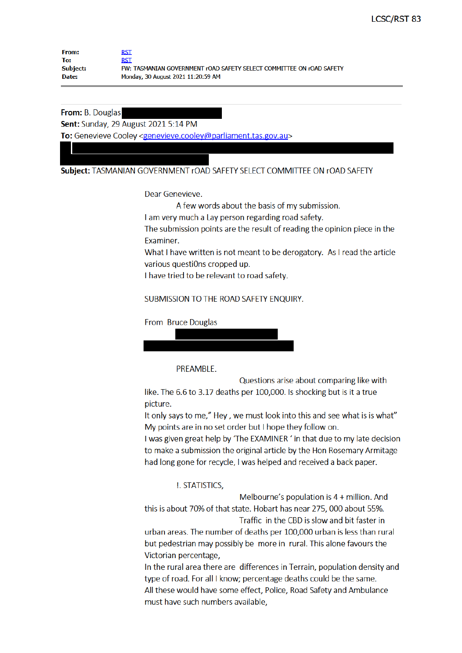| <b>From:</b>    | <b>RST</b>                                                           |
|-----------------|----------------------------------------------------------------------|
| To:             | <b>RST</b>                                                           |
| <b>Subject:</b> | FW: TASMANIAN GOVERNMENT rOAD SAFETY SELECT COMMITTEE ON rOAD SAFETY |
| Date:           | Monday, 30 August 2021 11:20:59 AM                                   |

From: B. Douglas

**Sent: Sunday, 29 August 2021 5:14 PM** 

To: Genevieve Cooley <genevieve.cooley@parliament.tas.gov.au>

Subject: TASMANIAN GOVERNMENT rOAD SAFETY SELECT COMMITTEE ON rOAD SAFETY

Dear Genevieve.

A few words about the basis of my submission.

I am very much a Lay person regarding road safety.

The submission points are the result of reading the opinion piece in the **Fxaminer.** 

What I have written is not meant to be derogatory. As I read the article various questiOns cropped up.

I have tried to be relevant to road safety.

SUBMISSION TO THE ROAD SAFETY ENOUIRY.

From Bruce Douglas

PREAMBLE.

Questions arise about comparing like with like. The 6.6 to 3.17 deaths per 100,000. Is shocking but is it a true picture.

It only says to me," Hey, we must look into this and see what is is what" My points are in no set order but I hope they follow on.

I was given great help by 'The EXAMINER' in that due to my late decision to make a submission the original article by the Hon Rosemary Armitage had long gone for recycle, I was helped and received a back paper.

**!. STATISTICS,** 

Melbourne's population is 4 + million. And this is about 70% of that state. Hobart has near 275, 000 about 55%. Traffic in the CBD is slow and bit faster in

urban areas. The number of deaths per 100,000 urban is less than rural but pedestrian may possibly be more in rural. This alone favours the Victorian percentage,

In the rural area there are differences in Terrain, population density and type of road. For all I know; percentage deaths could be the same. All these would have some effect, Police, Road Safety and Ambulance must have such numbers available.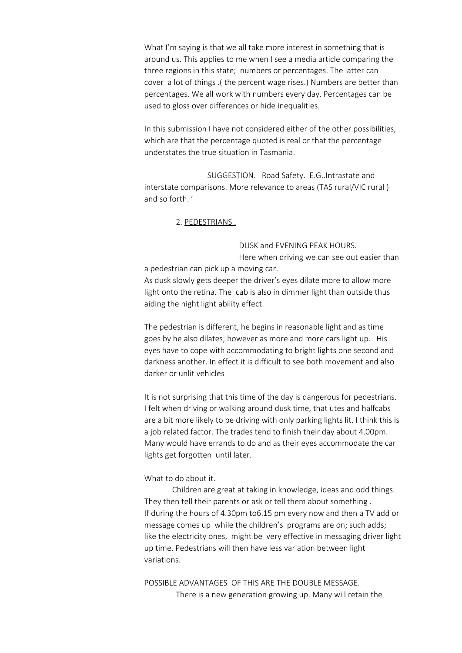What I'm saying is that we all take more interest in something that is around us. This applies to me when I see a media article comparing the three regions in this state; numbers or percentages. The latter can cover a lot of things .( the percent wage rises.) Numbers are better than percentages. We all work with numbers every day. Percentages can be used to gloss over differences or hide inequalities.

In this submission I have not considered either of the other possibilities, which are that the percentage quoted is real or that the percentage understates the true situation in Tasmania.

 SUGGESTION. Road Safety. E.G..Intrastate and interstate comparisons. More relevance to areas (TAS rural/VIC rural) and so forth. '

## 2. PEDESTRIANS .

DUSK and EVENING PEAK HOURS.

 Here when driving we can see out easier than a pedestrian can pick up a moving car. As dusk slowly gets deeper the driver's eyes dilate more to allow more light onto the retina. The cab is also in dimmer light than outside thus aiding the night light ability effect.

The pedestrian is different, he begins in reasonable light and as time goes by he also dilates; however as more and more cars light up. His eyes have to cope with accommodating to bright lights one second and darkness another. In effect it is difficult to see both movement and also darker or unlit vehicles

It is not surprising that this time of the day is dangerous for pedestrians. I felt when driving or walking around dusk time, that utes and halfcabs are a bit more likely to be driving with only parking lights lit. I think this is a job related factor. The trades tend to finish their day about 4.00pm. Many would have errands to do and as their eyes accommodate the car lights get forgotten until later.

#### What to do about it.

Children are great at taking in knowledge, ideas and odd things. They then tell their parents or ask or tell them about something . If during the hours of 4.30pm to6.15 pm every now and then a TV add or message comes up while the children's programs are on; such adds; like the electricity ones, might be very effective in messaging driver light up time. Pedestrians will then have less variation between light variations.

POSSIBLE ADVANTAGES OF THIS ARE THE DOUBLE MESSAGE. There is a new generation growing up. Many will retain the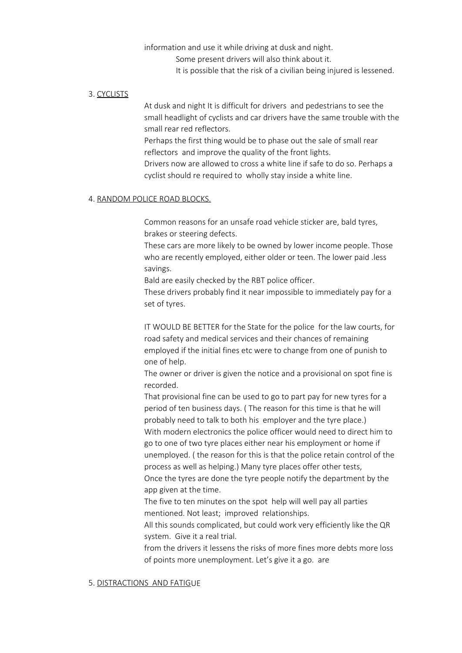information and use it while driving at dusk and night. Some present drivers will also think about it. It is possible that the risk of a civilian being injured is lessened.

## 3. CYCLISTS

At dusk and night It is difficult for drivers and pedestrians to see the small headlight of cyclists and car drivers have the same trouble with the small rear red reflectors.

Perhaps the first thing would be to phase out the sale of small rear reflectors and improve the quality of the front lights.

Drivers now are allowed to cross a white line if safe to do so. Perhaps a cyclist should re required to wholly stay inside a white line.

#### 4. RANDOM POLICE ROAD BLOCKS.

Common reasons for an unsafe road vehicle sticker are, bald tyres, brakes or steering defects.

These cars are more likely to be owned by lower income people. Those who are recently employed, either older or teen. The lower paid .less savings.

Bald are easily checked by the RBT police officer.

These drivers probably find it near impossible to immediately pay for a set of tyres.

IT WOULD BE BETTER for the State for the police for the law courts, for road safety and medical services and their chances of remaining employed if the initial fines etc were to change from one of punish to one of help.

The owner or driver is given the notice and a provisional on spot fine is recorded.

That provisional fine can be used to go to part pay for new tyres for a period of ten business days. ( The reason for this time is that he will probably need to talk to both his employer and the tyre place.) With modern electronics the police officer would need to direct him to go to one of two tyre places either near his employment or home if unemployed. ( the reason for this is that the police retain control of the process as well as helping.) Many tyre places offer other tests,

Once the tyres are done the tyre people notify the department by the app given at the time.

The five to ten minutes on the spot help will well pay all parties mentioned. Not least; improved relationships.

All this sounds complicated, but could work very efficiently like the QR system. Give it a real trial.

from the drivers it lessens the risks of more fines more debts more loss of points more unemployment. Let's give it a go. are

#### 5. DISTRACTIONS AND FATIGUE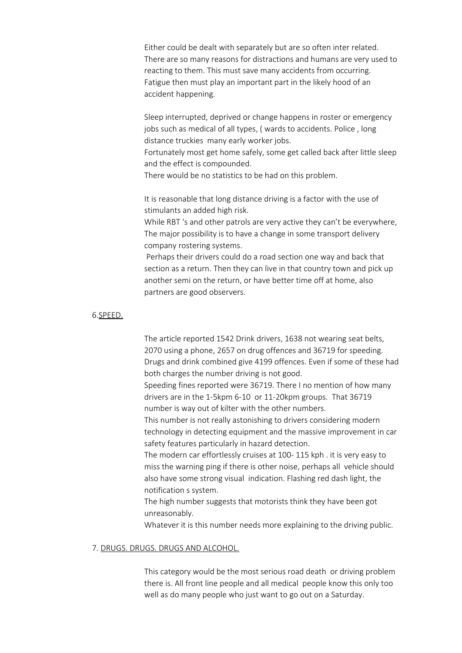Either could be dealt with separately but are so often inter related. There are so many reasons for distractions and humans are very used to reacting to them. This must save many accidents from occurring. Fatigue then must play an important part in the likely hood of an accident happening.

Sleep interrupted, deprived or change happens in roster or emergency jobs such as medical of all types, ( wards to accidents. Police , long distance truckies many early worker jobs.

Fortunately most get home safely, some get called back after little sleep and the effect is compounded.

There would be no statistics to be had on this problem.

It is reasonable that long distance driving is a factor with the use of stimulants an added high risk.

While RBT 's and other patrols are very active they can't be everywhere, The major possibility is to have a change in some transport delivery company rostering systems.

Perhaps their drivers could do a road section one way and back that section as a return. Then they can live in that country town and pick up another semi on the return, or have better time off at home, also partners are good observers.

# 6.SPEED.

The article reported 1542 Drink drivers, 1638 not wearing seat belts, 2070 using a phone, 2657 on drug offences and 36719 for speeding. Drugs and drink combined give 4199 offences. Even if some of these had both charges the number driving is not good.

Speeding fines reported were 36719. There I no mention of how many drivers are in the 1-5kpm 6-10 or 11-20kpm groups. That 36719 number is way out of kilter with the other numbers.

This number is not really astonishing to drivers considering modern technology in detecting equipment and the massive improvement in car safety features particularly in hazard detection.

The modern car effortlessly cruises at 100- 115 kph . it is very easy to miss the warning ping if there is other noise, perhaps all vehicle should also have some strong visual indication. Flashing red dash light, the notification s system.

The high number suggests that motorists think they have been got unreasonably.

Whatever it is this number needs more explaining to the driving public.

# 7. DRUGS. DRUGS. DRUGS AND ALCOHOL.

This category would be the most serious road death or driving problem there is. All front line people and all medical people know this only too well as do many people who just want to go out on a Saturday.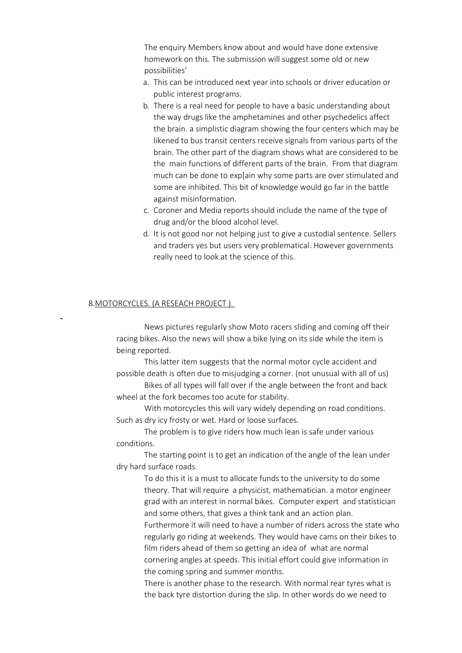The enquiry Members know about and would have done extensive homework on this. The submission will suggest some old or new possibilities'

- a. This can be introduced next year into schools or driver education or public interest programs.
- b. There is a real need for people to have a basic understanding about the way drugs like the amphetamines and other psychedelics affect the brain. a simplistic diagram showing the four centers which may be likened to bus transit centers receive signals from various parts of the brain. The other part of the diagram shows what are considered to be the main functions of different parts of the brain. From that diagram much can be done to exp[ain why some parts are over stimulated and some are inhibited. This bit of knowledge would go far in the battle against misinformation.
- c. Coroner and Media reports should include the name of the type of drug and/or the blood alcohol level.
- d. It is not good nor not helping just to give a custodial sentence. Sellers and traders yes but users very problematical. However governments really need to look at the science of this.

#### 8.MOTORCYCLES. (A RESEACH PROJECT ).

News pictures regularly show Moto racers sliding and coming off their racing bikes. Also the news will show a bike lying on its side while the item is being reported.

This latter item suggests that the normal motor cycle accident and possible death is often due to misjudging a corner. (not unusual with all of us)

Bikes of all types will fall over if the angle between the front and back wheel at the fork becomes too acute for stability.

With motorcycles this will vary widely depending on road conditions. Such as dry icy frosty or wet. Hard or loose surfaces.

The problem is to give riders how much lean is safe under various conditions.

The starting point is to get an indication of the angle of the lean under dry hard surface roads.

To do this it is a must to allocate funds to the university to do some theory. That will require a physicist, mathematician. a motor engineer grad with an interest in normal bikes. Computer expert and statistician and some others, that gives a think tank and an action plan.

Furthermore it will need to have a number of riders across the state who regularly go riding at weekends. They would have cams on their bikes to film riders ahead of them so getting an idea of what are normal cornering angles at speeds. This initial effort could give information in the coming spring and summer months.

There is another phase to the research. With normal rear tyres what is the back tyre distortion during the slip. In other words do we need to